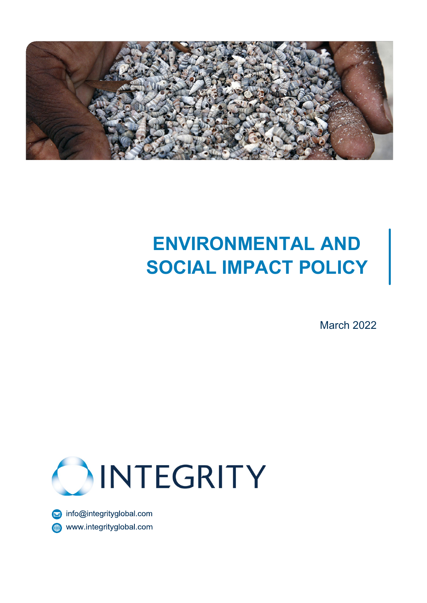

# **ENVIRONMENTAL AND SOCIAL IMPACT POLICY**

March 2022



info@integrityglobal.com www.integrityglobal.com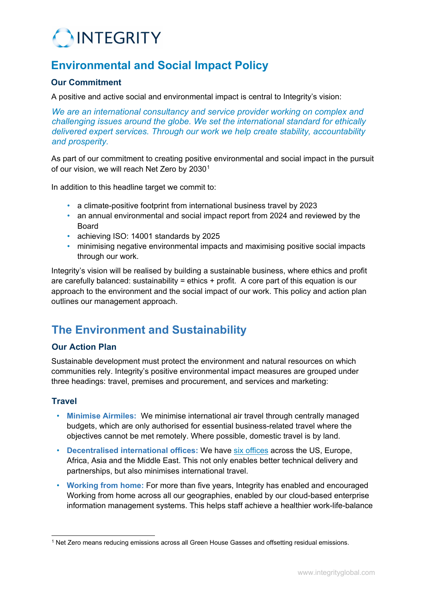

# **Environmental and Social Impact Policy**

#### **Our Commitment**

A positive and active social and environmental impact is central to Integrity's vision:

*We are an international consultancy and service provider working on complex and challenging issues around the globe. We set the international standard for ethically delivered expert services. Through our work we help create stability, accountability and prosperity.*

As part of our commitment to creating positive environmental and social impact in the pursuit of our vision, we will reach Net Zero by 2030<sup>[1](#page-1-0)</sup>

In addition to this headline target we commit to:

- a climate-positive footprint from international business travel by 2023
- an annual environmental and social impact report from 2024 and reviewed by the **Board**
- achieving ISO: 14001 standards by 2025
- minimising negative environmental impacts and maximising positive social impacts through our work.

Integrity's vision will be realised by building a sustainable business, where ethics and profit are carefully balanced: sustainability = ethics + profit. A core part of this equation is our approach to the environment and the social impact of our work. This policy and action plan outlines our management approach.

## **The Environment and Sustainability**

#### **Our Action Plan**

Sustainable development must protect the environment and natural resources on which communities rely. Integrity's positive environmental impact measures are grouped under three headings: travel, premises and procurement, and services and marketing:

#### **Travel**

- **Minimise Airmiles:** We minimise international air travel through centrally managed budgets, which are only authorised for essential business-related travel where the objectives cannot be met remotely. Where possible, domestic travel is by land.
- **Decentralised international offices:** We have six [offices](https://www.integrityglobal.com/contact-us/) [a](https://www.integrityglobal.com/contact-us/)cross the US, Europe, Africa, Asia and the Middle East. This not only enables better technical delivery and partnerships, but also minimises international travel.
- **Working from home:** For more than five years, Integrity has enabled and encouraged Working from home across all our geographies, enabled by our cloud-based enterprise information management systems. This helps staff achieve a healthier work-life-balance

<span id="page-1-0"></span><sup>1</sup> Net Zero means reducing emissions across all Green House Gasses and offsetting residual emissions.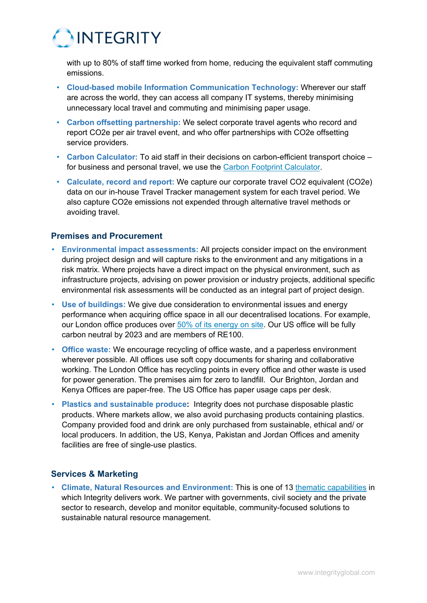

with up to 80% of staff time worked from home, reducing the equivalent staff commuting emissions.

- **Cloud-based mobile Information Communication Technology:** Wherever our staff are across the world, they can access all company IT systems, thereby minimising unnecessary local travel and commuting and minimising paper usage.
- **Carbon offsetting partnership:** We select corporate travel agents who record and report CO2e per air travel event, and who offer partnerships with CO2e offsetting service providers.
- **Carbon Calculator:** To aid staff in their decisions on carbon-efficient transport choice for business and personal travel, we use the Carbon Footprint Calculator.
- **Calculate, record and report:** We capture our corporate travel CO2 equivalent (CO2e) data on our in-house Travel Tracker management system for each travel period. We also capture CO2e emissions not expended through alternative travel methods or avoiding travel.

#### **Premises and Procurement**

- **Environmental impact assessments:** All projects consider impact on the environment during project design and will capture risks to the environment and any mitigations in a risk matrix. Where projects have a direct impact on the physical environment, such as infrastructure projects, advising on power provision or industry projects, additional specific environmental risk assessments will be conducted as an integral part of project design.
- **Use of buildings:** We give due consideration to environmental issues and energy performance when acquiring office space in all our decentralised locations. For example, our London office produces over [50% of its energy on site.](https://www.somersethouse.org.uk/sustainability) Our US office will be fully carbon neutral by 2023 and are members of RE100.
- **Office waste:** We encourage recycling of office waste, and a paperless environment wherever possible. All offices use soft copy documents for sharing and collaborative working. The London Office has recycling points in every office and other waste is used for power generation. The premises aim for zero to landfill. Our Brighton, Jordan and Kenya Offices are paper-free. The US Office has paper usage caps per desk.
- **Plastics and sustainable produce:** Integrity does not purchase disposable plastic products. Where markets allow, we also avoid purchasing products containing plastics. Company provided food and drink are only purchased from sustainable, ethical and/ or local producers. In addition, the US, Kenya, Pakistan and Jordan Offices and amenity facilities are free of single-use plastics.

#### **Services & Marketing**

• **Climate, Natural Resources and Environment:** This is one of 13 [thematic capabilities](https://www.integrityglobal.com/our-work/our-thematics/) [in](https://www.integrityglobal.com/our-work/our-thematics/) which Integrity delivers work. We partner with governments, civil society and the private sector to research, develop and monitor equitable, community-focused solutions to sustainable natural resource management.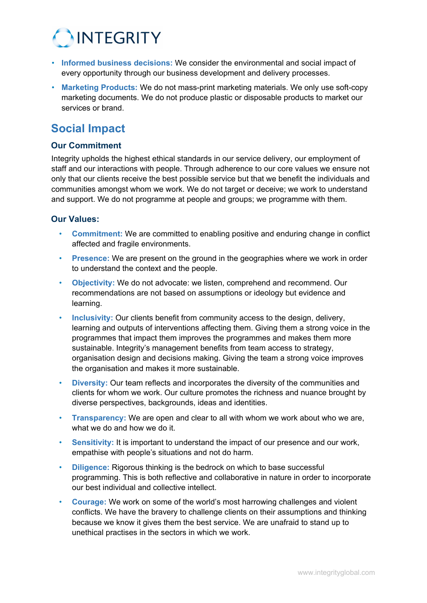

- **Informed business decisions:** We consider the environmental and social impact of every opportunity through our business development and delivery processes.
- **Marketing Products:** We do not mass-print marketing materials. We only use soft-copy marketing documents. We do not produce plastic or disposable products to market our services or brand.

### **Social Impact**

#### **Our Commitment**

Integrity upholds the highest ethical standards in our service delivery, our employment of staff and our interactions with people. Through adherence to our core values we ensure not only that our clients receive the best possible service but that we benefit the individuals and communities amongst whom we work. We do not target or deceive; we work to understand and support. We do not programme at people and groups; we programme with them.

#### **Our Values:**

- **Commitment:** We are committed to enabling positive and enduring change in conflict affected and fragile environments.
- **Presence:** We are present on the ground in the geographies where we work in order to understand the context and the people.
- **Objectivity:** We do not advocate: we listen, comprehend and recommend. Our recommendations are not based on assumptions or ideology but evidence and learning.
- **Inclusivity:** Our clients benefit from community access to the design, delivery, learning and outputs of interventions affecting them. Giving them a strong voice in the programmes that impact them improves the programmes and makes them more sustainable. Integrity's management benefits from team access to strategy, organisation design and decisions making. Giving the team a strong voice improves the organisation and makes it more sustainable.
- **Diversity:** Our team reflects and incorporates the diversity of the communities and clients for whom we work. Our culture promotes the richness and nuance brought by diverse perspectives, backgrounds, ideas and identities.
- **Transparency:** We are open and clear to all with whom we work about who we are, what we do and how we do it.
- **Sensitivity:** It is important to understand the impact of our presence and our work, empathise with people's situations and not do harm.
- **Diligence:** Rigorous thinking is the bedrock on which to base successful programming. This is both reflective and collaborative in nature in order to incorporate our best individual and collective intellect.
- **Courage:** We work on some of the world's most harrowing challenges and violent conflicts. We have the bravery to challenge clients on their assumptions and thinking because we know it gives them the best service. We are unafraid to stand up to unethical practises in the sectors in which we work.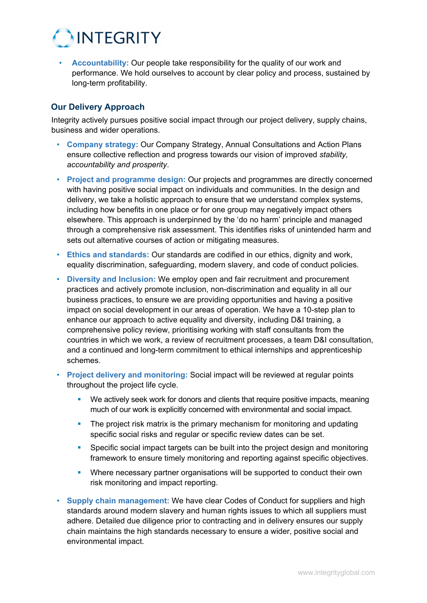

• **Accountability:** Our people take responsibility for the quality of our work and performance. We hold ourselves to account by clear policy and process, sustained by long-term profitability.

#### **Our Delivery Approach**

Integrity actively pursues positive social impact through our project delivery, supply chains, business and wider operations.

- **Company strategy:** Our Company Strategy, Annual Consultations and Action Plans ensure collective reflection and progress towards our vision of improved *stability, accountability and prosperity*.
- **Project and programme design:** Our projects and programmes are directly concerned with having positive social impact on individuals and communities. In the design and delivery, we take a holistic approach to ensure that we understand complex systems, including how benefits in one place or for one group may negatively impact others elsewhere. This approach is underpinned by the 'do no harm' principle and managed through a comprehensive risk assessment. This identifies risks of unintended harm and sets out alternative courses of action or mitigating measures.
- **Ethics and standards:** Our standards are codified in our ethics, dignity and work, equality discrimination, safeguarding, modern slavery, and code of conduct policies.
- **Diversity and Inclusion:** We employ open and fair recruitment and procurement practices and actively promote inclusion, non-discrimination and equality in all our business practices, to ensure we are providing opportunities and having a positive impact on social development in our areas of operation. We have a 10-step plan to enhance our approach to active equality and diversity, including D&I training, a comprehensive policy review, prioritising working with staff consultants from the countries in which we work, a review of recruitment processes, a team D&I consultation, and a continued and long-term commitment to ethical internships and apprenticeship schemes.
- **Project delivery and monitoring:** Social impact will be reviewed at regular points throughout the project life cycle.
	- We actively seek work for donors and clients that require positive impacts, meaning much of our work is explicitly concerned with environmental and social impact.
	- The project risk matrix is the primary mechanism for monitoring and updating specific social risks and regular or specific review dates can be set.
	- Specific social impact targets can be built into the project design and monitoring framework to ensure timely monitoring and reporting against specific objectives.
	- Where necessary partner organisations will be supported to conduct their own risk monitoring and impact reporting.
- **Supply chain management:** We have clear Codes of Conduct for suppliers and high standards around modern slavery and human rights issues to which all suppliers must adhere. Detailed due diligence prior to contracting and in delivery ensures our supply chain maintains the high standards necessary to ensure a wider, positive social and environmental impact.